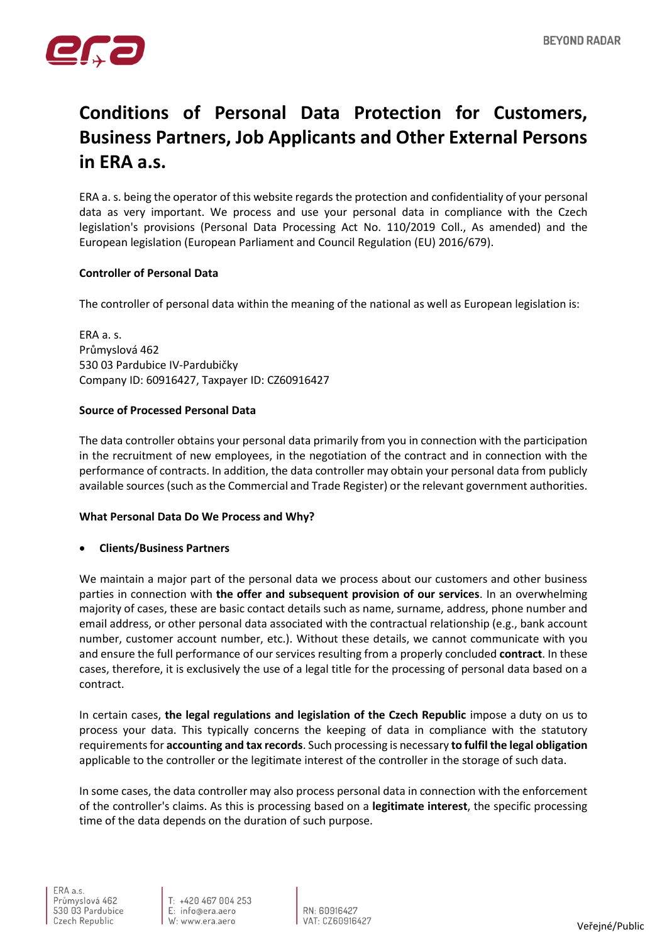

# **Conditions of Personal Data Protection for Customers, Business Partners, Job Applicants and Other External Persons in ERA a.s.**

ERA a. s. being the operator of this website regards the protection and confidentiality of your personal data as very important. We process and use your personal data in compliance with the Czech legislation's provisions (Personal Data Processing Act No. 110/2019 Coll., As amended) and the European legislation (European Parliament and Council Regulation (EU) 2016/679).

# **Controller of Personal Data**

The controller of personal data within the meaning of the national as well as European legislation is:

ERA a. s. Průmyslová 462 530 03 Pardubice IV-Pardubičky Company ID: 60916427, Taxpayer ID: CZ60916427

### **Source of Processed Personal Data**

The data controller obtains your personal data primarily from you in connection with the participation in the recruitment of new employees, in the negotiation of the contract and in connection with the performance of contracts. In addition, the data controller may obtain your personal data from publicly available sources (such as the Commercial and Trade Register) or the relevant government authorities.

### **What Personal Data Do We Process and Why?**

• **Clients/Business Partners**

We maintain a major part of the personal data we process about our customers and other business parties in connection with **the offer and subsequent provision of our services**. In an overwhelming majority of cases, these are basic contact details such as name, surname, address, phone number and email address, or other personal data associated with the contractual relationship (e.g., bank account number, customer account number, etc.). Without these details, we cannot communicate with you and ensure the full performance of our services resulting from a properly concluded **contract**. In these cases, therefore, it is exclusively the use of a legal title for the processing of personal data based on a contract.

In certain cases, **the legal regulations and legislation of the Czech Republic** impose a duty on us to process your data. This typically concerns the keeping of data in compliance with the statutory requirements for **accounting and tax records**. Such processing is necessary **to fulfil the legal obligation** applicable to the controller or the legitimate interest of the controller in the storage of such data.

In some cases, the data controller may also process personal data in connection with the enforcement of the controller's claims. As this is processing based on a **legitimate interest**, the specific processing time of the data depends on the duration of such purpose.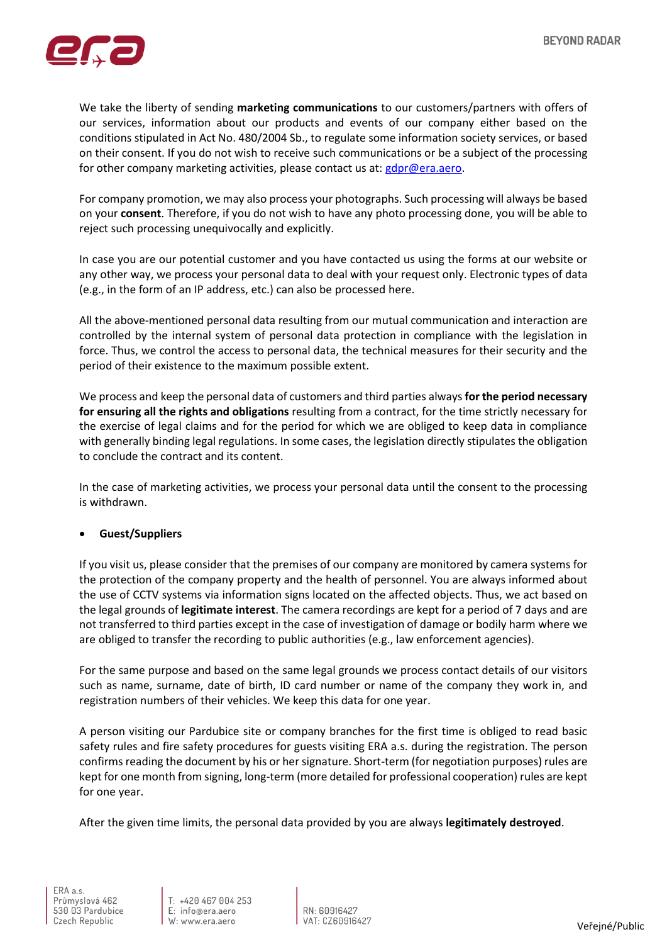

We take the liberty of sending **marketing communications** to our customers/partners with offers of our services, information about our products and events of our company either based on the conditions stipulated in Act No. 480/2004 Sb., to regulate some information society services, or based on their consent. If you do not wish to receive such communications or be a subject of the processing for other company marketing activities, please contact us at: [gdpr@era.aero.](mailto:gdpr@era.aero)

For company promotion, we may also process your photographs. Such processing will always be based on your **consent**. Therefore, if you do not wish to have any photo processing done, you will be able to reject such processing unequivocally and explicitly.

In case you are our potential customer and you have contacted us using the forms at our website or any other way, we process your personal data to deal with your request only. Electronic types of data (e.g., in the form of an IP address, etc.) can also be processed here.

All the above-mentioned personal data resulting from our mutual communication and interaction are controlled by the internal system of personal data protection in compliance with the legislation in force. Thus, we control the access to personal data, the technical measures for their security and the period of their existence to the maximum possible extent.

We process and keep the personal data of customers and third parties always **for the period necessary for ensuring all the rights and obligations** resulting from a contract, for the time strictly necessary for the exercise of legal claims and for the period for which we are obliged to keep data in compliance with generally binding legal regulations. In some cases, the legislation directly stipulates the obligation to conclude the contract and its content.

In the case of marketing activities, we process your personal data until the consent to the processing is withdrawn.

### • **Guest/Suppliers**

If you visit us, please consider that the premises of our company are monitored by camera systems for the protection of the company property and the health of personnel. You are always informed about the use of CCTV systems via information signs located on the affected objects. Thus, we act based on the legal grounds of **legitimate interest**. The camera recordings are kept for a period of 7 days and are not transferred to third parties except in the case of investigation of damage or bodily harm where we are obliged to transfer the recording to public authorities (e.g., law enforcement agencies).

For the same purpose and based on the same legal grounds we process contact details of our visitors such as name, surname, date of birth, ID card number or name of the company they work in, and registration numbers of their vehicles. We keep this data for one year.

A person visiting our Pardubice site or company branches for the first time is obliged to read basic safety rules and fire safety procedures for guests visiting ERA a.s. during the registration. The person confirms reading the document by his or her signature. Short-term (for negotiation purposes) rules are kept for one month from signing, long-term (more detailed for professional cooperation) rules are kept for one year.

After the given time limits, the personal data provided by you are always **legitimately destroyed**.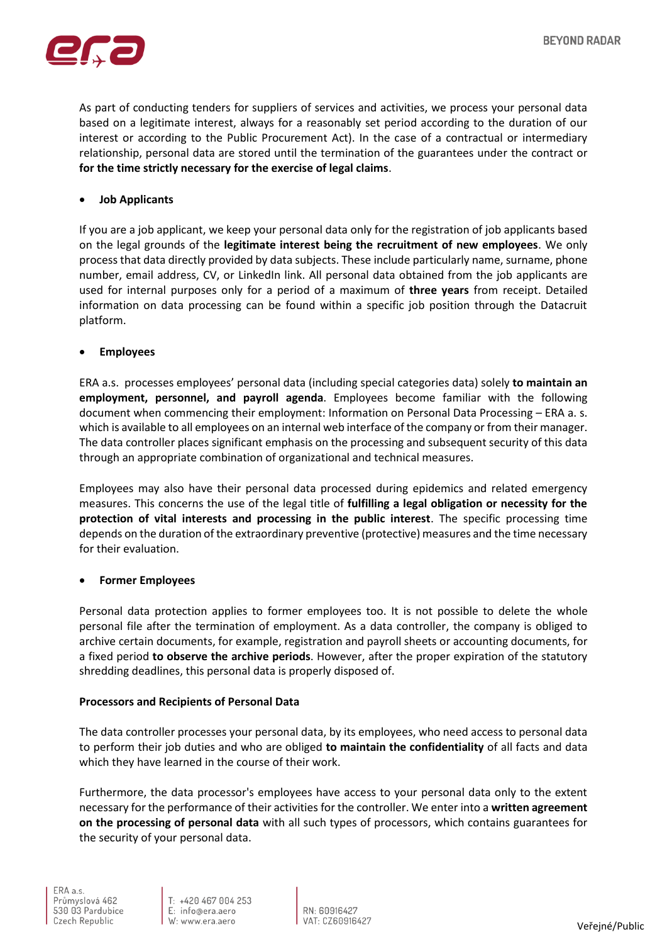

As part of conducting tenders for suppliers of services and activities, we process your personal data based on a legitimate interest, always for a reasonably set period according to the duration of our interest or according to the Public Procurement Act). In the case of a contractual or intermediary relationship, personal data are stored until the termination of the guarantees under the contract or **for the time strictly necessary for the exercise of legal claims**.

# • **Job Applicants**

If you are a job applicant, we keep your personal data only for the registration of job applicants based on the legal grounds of the **legitimate interest being the recruitment of new employees**. We only process that data directly provided by data subjects. These include particularly name, surname, phone number, email address, CV, or LinkedIn link. All personal data obtained from the job applicants are used for internal purposes only for a period of a maximum of **three years** from receipt. Detailed information on data processing can be found within a specific job position through the Datacruit platform.

### • **Employees**

ERA a.s. processes employees' personal data (including special categories data) solely **to maintain an employment, personnel, and payroll agenda**. Employees become familiar with the following document when commencing their employment: Information on Personal Data Processing - ERA a. s. which is available to all employees on an internal web interface of the company or from their manager. The data controller places significant emphasis on the processing and subsequent security of this data through an appropriate combination of organizational and technical measures.

Employees may also have their personal data processed during epidemics and related emergency measures. This concerns the use of the legal title of **fulfilling a legal obligation or necessity for the protection of vital interests and processing in the public interest**. The specific processing time depends on the duration of the extraordinary preventive (protective) measures and the time necessary for their evaluation.

### • **Former Employees**

Personal data protection applies to former employees too. It is not possible to delete the whole personal file after the termination of employment. As a data controller, the company is obliged to archive certain documents, for example, registration and payroll sheets or accounting documents, for a fixed period **to observe the archive periods**. However, after the proper expiration of the statutory shredding deadlines, this personal data is properly disposed of.

### **Processors and Recipients of Personal Data**

The data controller processes your personal data, by its employees, who need access to personal data to perform their job duties and who are obliged **to maintain the confidentiality** of all facts and data which they have learned in the course of their work.

Furthermore, the data processor's employees have access to your personal data only to the extent necessary for the performance of their activities for the controller. We enter into a **written agreement on the processing of personal data** with all such types of processors, which contains guarantees for the security of your personal data.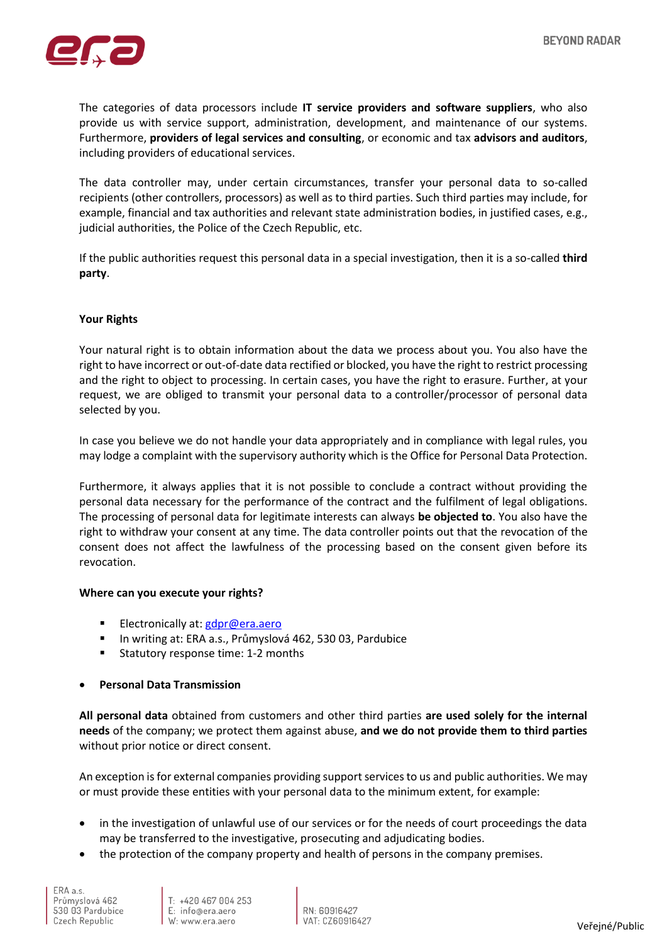

The categories of data processors include **IT service providers and software suppliers**, who also provide us with service support, administration, development, and maintenance of our systems. Furthermore, **providers of legal services and consulting**, or economic and tax **advisors and auditors**, including providers of educational services.

The data controller may, under certain circumstances, transfer your personal data to so-called recipients (other controllers, processors) as well as to third parties. Such third parties may include, for example, financial and tax authorities and relevant state administration bodies, in justified cases, e.g., judicial authorities, the Police of the Czech Republic, etc.

If the public authorities request this personal data in a special investigation, then it is a so-called **third party**.

### **Your Rights**

Your natural right is to obtain information about the data we process about you. You also have the right to have incorrect or out-of-date data rectified or blocked, you have the right to restrict processing and the right to object to processing. In certain cases, you have the right to erasure. Further, at your request, we are obliged to transmit your personal data to a controller/processor of personal data selected by you.

In case you believe we do not handle your data appropriately and in compliance with legal rules, you may lodge a complaint with the supervisory authority which is the Office for Personal Data Protection.

Furthermore, it always applies that it is not possible to conclude a contract without providing the personal data necessary for the performance of the contract and the fulfilment of legal obligations. The processing of personal data for legitimate interests can always **be objected to**. You also have the right to withdraw your consent at any time. The data controller points out that the revocation of the consent does not affect the lawfulness of the processing based on the consent given before its revocation.

### **Where can you execute your rights?**

- Electronically at: [gdpr@era.aero](mailto:gdpr@era.aero)
- In writing at: ERA a.s., Průmyslová 462, 530 03, Pardubice
- Statutory response time: 1-2 months

### • **Personal Data Transmission**

**All personal data** obtained from customers and other third parties **are used solely for the internal needs** of the company; we protect them against abuse, **and we do not provide them to third parties** without prior notice or direct consent.

An exception is for external companies providing support services to us and public authorities. We may or must provide these entities with your personal data to the minimum extent, for example:

- in the investigation of unlawful use of our services or for the needs of court proceedings the data may be transferred to the investigative, prosecuting and adjudicating bodies.
- the protection of the company property and health of persons in the company premises.